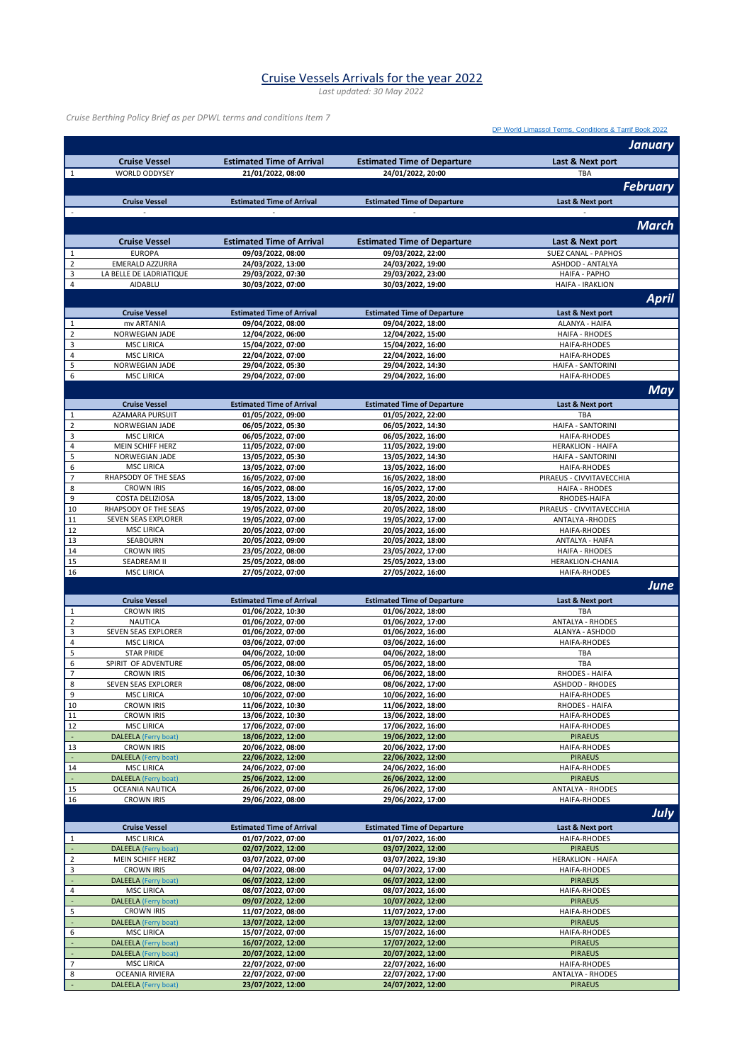## Cruise Vessels Arrivals for the year 2022

*Last updated: 30 May 2022*

*Cruise Berthing Policy Brief as per DPWL terms and conditions Item 7*

|                               |                                                  |                                        |                                        | DP World Limassol Terms, Conditions & Tarrif Book 2022 |
|-------------------------------|--------------------------------------------------|----------------------------------------|----------------------------------------|--------------------------------------------------------|
|                               |                                                  |                                        |                                        | <b>January</b>                                         |
|                               |                                                  |                                        |                                        |                                                        |
|                               | <b>Cruise Vessel</b>                             | <b>Estimated Time of Arrival</b>       | <b>Estimated Time of Departure</b>     | Last & Next port                                       |
| $\mathbf{1}$                  | <b>WORLD ODDYSEY</b>                             | 21/01/2022, 08:00                      | 24/01/2022, 20:00                      | TBA                                                    |
|                               |                                                  |                                        |                                        | <b>February</b>                                        |
|                               | <b>Cruise Vessel</b>                             | <b>Estimated Time of Arrival</b>       | <b>Estimated Time of Departure</b>     | Last & Next port                                       |
|                               |                                                  |                                        |                                        |                                                        |
|                               |                                                  |                                        |                                        | <b>March</b>                                           |
|                               |                                                  |                                        |                                        |                                                        |
|                               | <b>Cruise Vessel</b>                             | <b>Estimated Time of Arrival</b>       | <b>Estimated Time of Departure</b>     | Last & Next port                                       |
| $\mathbf 1$                   | <b>EUROPA</b>                                    | 09/03/2022, 08:00                      | 09/03/2022, 22:00                      | <b>SUEZ CANAL - PAPHOS</b>                             |
| $\mathbf 2$                   | <b>EMERALD AZZURRA</b>                           | 24/03/2022, 13:00                      | 24/03/2022, 19:00                      | ASHDOD - ANTALYA                                       |
| 3                             | LA BELLE DE LADRIATIQUE                          | 29/03/2022, 07:30                      | 29/03/2022, 23:00                      | <b>HAIFA - PAPHO</b>                                   |
| $\sqrt{4}$                    | AIDABLU                                          | 30/03/2022, 07:00                      | 30/03/2022, 19:00                      | HAIFA - IRAKLION                                       |
|                               |                                                  |                                        |                                        | <b>April</b>                                           |
|                               | <b>Cruise Vessel</b>                             | <b>Estimated Time of Arrival</b>       | <b>Estimated Time of Departure</b>     | Last & Next port                                       |
| $\mathbf{1}$                  | mv ARTANIA                                       | 09/04/2022, 08:00                      | 09/04/2022, 18:00                      | ALANYA - HAIFA                                         |
| $\mathbf 2$                   | NORWEGIAN JADE                                   | 12/04/2022, 06:00                      | 12/04/2022, 15:00                      | <b>HAIFA - RHODES</b>                                  |
| $\mathsf 3$                   | <b>MSC LIRICA</b>                                | 15/04/2022, 07:00                      | 15/04/2022, 16:00                      | HAIFA-RHODES                                           |
| 4                             | <b>MSC LIRICA</b>                                | 22/04/2022, 07:00                      | 22/04/2022, 16:00                      | HAIFA-RHODES                                           |
| 5                             | NORWEGIAN JADE                                   | 29/04/2022, 05:30                      | 29/04/2022, 14:30                      | <b>HAIFA - SANTORINI</b>                               |
| 6                             | <b>MSC LIRICA</b>                                | 29/04/2022, 07:00                      | 29/04/2022, 16:00                      | HAIFA-RHODES                                           |
|                               |                                                  |                                        |                                        | <b>May</b>                                             |
|                               | <b>Cruise Vessel</b>                             | <b>Estimated Time of Arrival</b>       | <b>Estimated Time of Departure</b>     | Last & Next port                                       |
| $\mathbf{1}$                  | AZAMARA PURSUIT                                  | 01/05/2022, 09:00                      | 01/05/2022, 22:00                      | <b>TBA</b>                                             |
| $\mathbf 2$                   | <b>NORWEGIAN JADE</b>                            | 06/05/2022, 05:30                      | 06/05/2022, 14:30                      | HAIFA - SANTORINI                                      |
| $\mathsf 3$                   | <b>MSC LIRICA</b>                                | 06/05/2022, 07:00                      | 06/05/2022, 16:00                      | <b>HAIFA-RHODES</b>                                    |
| 4                             | MEIN SCHIFF HERZ                                 | 11/05/2022, 07:00                      | 11/05/2022, 19:00                      | <b>HERAKLION - HAIFA</b>                               |
| 5                             | NORWEGIAN JADE                                   | 13/05/2022, 05:30                      | 13/05/2022, 14:30                      | HAIFA - SANTORINI                                      |
| 6                             | <b>MSC LIRICA</b>                                | 13/05/2022, 07:00                      | 13/05/2022, 16:00                      | HAIFA-RHODES                                           |
| $\overline{\phantom{a}}$      | RHAPSODY OF THE SEAS                             | 16/05/2022, 07:00                      | 16/05/2022, 18:00                      | PIRAEUS - CIVVITAVECCHIA                               |
| 8<br>9                        | <b>CROWN IRIS</b><br>COSTA DELIZIOSA             | 16/05/2022, 08:00                      | 16/05/2022, 17:00                      | <b>HAIFA - RHODES</b>                                  |
| $10\,$                        | RHAPSODY OF THE SEAS                             | 18/05/2022, 13:00<br>19/05/2022, 07:00 | 18/05/2022, 20:00<br>20/05/2022, 18:00 | RHODES-HAIFA<br>PIRAEUS - CIVVITAVECCHIA               |
| $11\,$                        | SEVEN SEAS EXPLORER                              | 19/05/2022, 07:00                      | 19/05/2022, 17:00                      | <b>ANTALYA - RHODES</b>                                |
| 12                            | <b>MSC LIRICA</b>                                | 20/05/2022, 07:00                      | 20/05/2022, 16:00                      | <b>HAIFA-RHODES</b>                                    |
| 13                            | SEABOURN                                         | 20/05/2022, 09:00                      | 20/05/2022, 18:00                      | ANTALYA - HAIFA                                        |
| 14                            | <b>CROWN IRIS</b>                                | 23/05/2022, 08:00                      | 23/05/2022, 17:00                      | <b>HAIFA - RHODES</b>                                  |
| 15                            | SEADREAM II                                      | 25/05/2022, 08:00                      | 25/05/2022, 13:00                      | HERAKLION-CHANIA                                       |
| 16                            | <b>MSC LIRICA</b>                                | 27/05/2022, 07:00                      | 27/05/2022, 16:00                      | HAIFA-RHODES                                           |
|                               |                                                  |                                        |                                        | June                                                   |
|                               |                                                  |                                        |                                        |                                                        |
|                               |                                                  |                                        | <b>Estimated Time of Departure</b>     | Last & Next port                                       |
|                               | <b>Cruise Vessel</b>                             | <b>Estimated Time of Arrival</b>       |                                        |                                                        |
| $\mathbf{1}$                  | <b>CROWN IRIS</b>                                | 01/06/2022, 10:30                      | 01/06/2022, 18:00                      | TBA                                                    |
| $\mathbf 2$                   | NAUTICA                                          | 01/06/2022, 07:00                      | 01/06/2022, 17:00                      | <b>ANTALYA - RHODES</b>                                |
| $\mathsf 3$                   | SEVEN SEAS EXPLORER                              | 01/06/2022, 07:00                      | 01/06/2022, 16:00                      | ALANYA - ASHDOD                                        |
| $\sqrt{4}$                    | <b>MSC LIRICA</b>                                | 03/06/2022, 07:00<br>04/06/2022, 10:00 | 03/06/2022, 16:00                      | HAIFA-RHODES                                           |
| 5<br>6                        | <b>STAR PRIDE</b><br>SPIRIT OF ADVENTURE         | 05/06/2022, 08:00                      | 04/06/2022, 18:00<br>05/06/2022, 18:00 | TBA<br>TBA                                             |
| $\overline{7}$                | <b>CROWN IRIS</b>                                | 06/06/2022, 10:30                      | 06/06/2022, 18:00                      | RHODES - HAIFA                                         |
| 8                             | SEVEN SEAS EXPLORER                              | 08/06/2022, 08:00                      | 08/06/2022, 17:00                      | <b>ASHDOD - RHODES</b>                                 |
| 9                             | <b>MSC LIRICA</b>                                | 10/06/2022, 07:00                      | 10/06/2022, 16:00                      | <b>HAIFA-RHODES</b>                                    |
| $\sqrt{10}$                   | <b>CROWN IRIS</b>                                | 11/06/2022, 10:30                      | 11/06/2022, 18:00                      | RHODES - HAIFA                                         |
| 11                            | <b>CROWN IRIS</b>                                | 13/06/2022, 10:30                      | 13/06/2022, 18:00                      | <b>HAIFA-RHODES</b>                                    |
| 12                            | <b>MSC LIRICA</b>                                | 17/06/2022, 07:00                      | 17/06/2022, 16:00                      | HAIFA-RHODES                                           |
| $\blacksquare$                | <b>DALEELA</b> (Ferry boat)                      | 18/06/2022, 12:00                      | 19/06/2022, 12:00                      | <b>PIRAEUS</b>                                         |
| 13                            | <b>CROWN IRIS</b>                                | 20/06/2022, 08:00                      | 20/06/2022, 17:00                      | HAIFA-RHODES                                           |
| ÷                             | <b>DALEELA</b> (Ferry boat)                      | 22/06/2022, 12:00                      | 22/06/2022, 12:00                      | <b>PIRAEUS</b>                                         |
| 14                            | <b>MSC LIRICA</b>                                | 24/06/2022, 07:00                      | 24/06/2022, 16:00                      | <b>HAIFA-RHODES</b>                                    |
|                               | <b>DALEELA</b> (Ferry boat)<br>OCEANIA NAUTICA   | 25/06/2022, 12:00                      | 26/06/2022, 12:00                      | <b>PIRAEUS</b>                                         |
| 15<br>16                      | <b>CROWN IRIS</b>                                | 26/06/2022, 07:00<br>29/06/2022, 08:00 | 26/06/2022, 17:00<br>29/06/2022, 17:00 | <b>ANTALYA - RHODES</b><br>HAIFA-RHODES                |
|                               |                                                  |                                        |                                        |                                                        |
|                               |                                                  |                                        |                                        | <b>July</b>                                            |
|                               | <b>Cruise Vessel</b>                             | <b>Estimated Time of Arrival</b>       | <b>Estimated Time of Departure</b>     | Last & Next port                                       |
| $\mathbf{1}$                  | <b>MSC LIRICA</b>                                | 01/07/2022, 07:00                      | 01/07/2022, 16:00                      | HAIFA-RHODES                                           |
|                               | <b>DALEELA</b> (Ferry boat)                      | 02/07/2022, 12:00                      | 03/07/2022, 12:00                      | <b>PIRAEUS</b>                                         |
| $\mathbf 2$                   | <b>MEIN SCHIFF HERZ</b>                          | 03/07/2022, 07:00                      | 03/07/2022, 19:30                      | <b>HERAKLION - HAIFA</b>                               |
| 3                             | <b>CROWN IRIS</b>                                | 04/07/2022, 08:00                      | 04/07/2022, 17:00                      | HAIFA-RHODES                                           |
| $\overline{\phantom{a}}$<br>4 | <b>DALEELA</b> (Ferry boat)<br><b>MSC LIRICA</b> | 06/07/2022, 12:00<br>08/07/2022, 07:00 | 06/07/2022, 12:00<br>08/07/2022, 16:00 | <b>PIRAEUS</b><br>HAIFA-RHODES                         |
|                               | <b>DALEELA</b> (Ferry boat)                      | 09/07/2022, 12:00                      | 10/07/2022, 12:00                      | <b>PIRAEUS</b>                                         |
| 5                             | <b>CROWN IRIS</b>                                | 11/07/2022, 08:00                      | 11/07/2022, 17:00                      | HAIFA-RHODES                                           |
|                               | <b>DALEELA</b> (Ferry boat)                      | 13/07/2022, 12:00                      | 13/07/2022, 12:00                      | <b>PIRAEUS</b>                                         |
| 6                             | <b>MSC LIRICA</b>                                | 15/07/2022, 07:00                      | 15/07/2022, 16:00                      | HAIFA-RHODES                                           |
| ÷,                            | <b>DALEELA</b> (Ferry boat)                      | 16/07/2022, 12:00                      | 17/07/2022, 12:00                      | <b>PIRAEUS</b>                                         |
| ÷.                            | <b>DALEELA</b> (Ferry boat)                      | 20/07/2022, 12:00                      | 20/07/2022, 12:00                      | <b>PIRAEUS</b>                                         |
| $\overline{7}$                | <b>MSC LIRICA</b>                                | 22/07/2022, 07:00                      | 22/07/2022, 16:00                      | HAIFA-RHODES                                           |
| 8<br>÷,                       | OCEANIA RIVIERA<br><b>DALEELA</b> (Ferry boat)   | 22/07/2022, 07:00<br>23/07/2022, 12:00 | 22/07/2022, 17:00<br>24/07/2022, 12:00 | <b>ANTALYA - RHODES</b><br><b>PIRAEUS</b>              |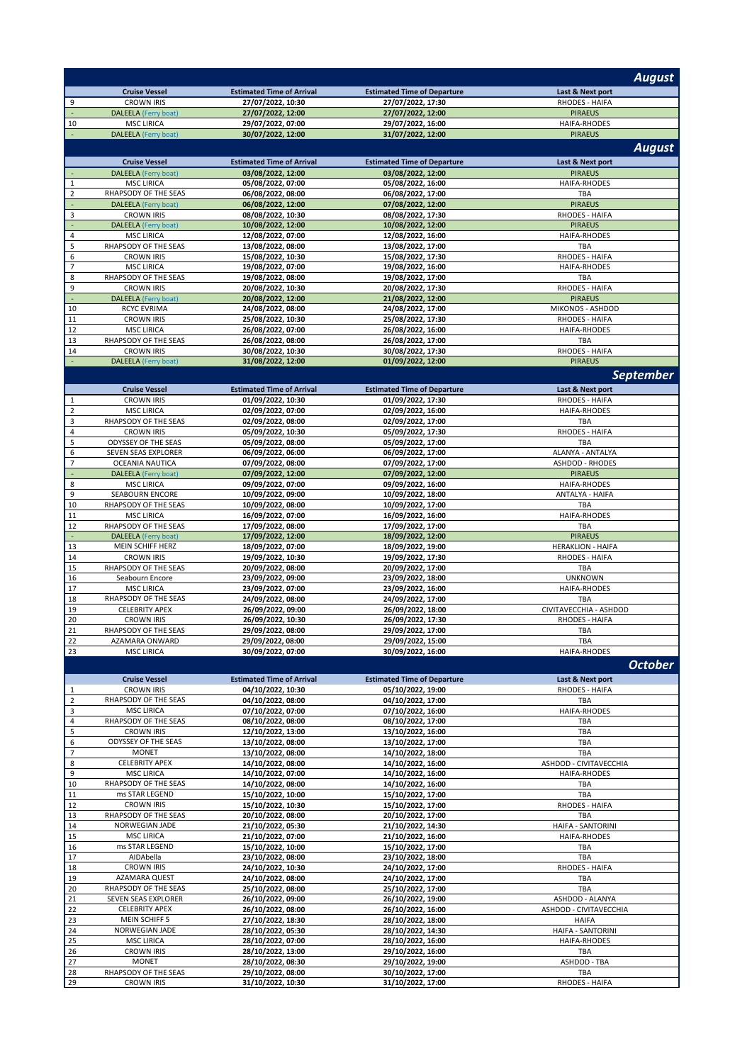|                                  |                                                     |                                        |                                                         | <b>August</b>                              |
|----------------------------------|-----------------------------------------------------|----------------------------------------|---------------------------------------------------------|--------------------------------------------|
|                                  | <b>Cruise Vessel</b>                                | <b>Estimated Time of Arrival</b>       | <b>Estimated Time of Departure</b>                      | Last & Next port                           |
| 9                                | <b>CROWN IRIS</b>                                   | 27/07/2022, 10:30                      | 27/07/2022, 17:30                                       | RHODES - HAIFA                             |
| $\blacksquare$<br>10             | <b>DALEELA</b> (Ferry boat)<br><b>MSC LIRICA</b>    | 27/07/2022, 12:00<br>29/07/2022, 07:00 | 27/07/2022, 12:00<br>29/07/2022, 16:00                  | <b>PIRAEUS</b><br>HAIFA-RHODES             |
| ÷.                               | <b>DALEELA</b> (Ferry boat)                         | 30/07/2022, 12:00                      | 31/07/2022, 12:00                                       | <b>PIRAEUS</b>                             |
|                                  |                                                     |                                        |                                                         | <b>August</b>                              |
|                                  | <b>Cruise Vessel</b>                                | <b>Estimated Time of Arrival</b>       | <b>Estimated Time of Departure</b>                      | Last & Next port                           |
| $\sim$                           | <b>DALEELA</b> (Ferry boat)                         | 03/08/2022, 12:00                      | 03/08/2022, 12:00                                       | <b>PIRAEUS</b>                             |
| $\,1\,$                          | <b>MSC LIRICA</b>                                   | 05/08/2022, 07:00                      | 05/08/2022, 16:00                                       | HAIFA-RHODES                               |
| $\overline{2}$<br>$\blacksquare$ | RHAPSODY OF THE SEAS<br><b>DALEELA</b> (Ferry boat) | 06/08/2022, 08:00                      | 06/08/2022, 17:00                                       | TBA                                        |
| 3                                | <b>CROWN IRIS</b>                                   | 06/08/2022, 12:00<br>08/08/2022, 10:30 | 07/08/2022, 12:00<br>08/08/2022, 17:30                  | <b>PIRAEUS</b><br>RHODES - HAIFA           |
| $\overline{\phantom{a}}$         | <b>DALEELA</b> (Ferry boat)                         | 10/08/2022, 12:00                      | 10/08/2022, 12:00                                       | <b>PIRAEUS</b>                             |
| $\overline{4}$                   | <b>MSC LIRICA</b>                                   | 12/08/2022, 07:00                      | 12/08/2022, 16:00                                       | HAIFA-RHODES                               |
| 5<br>6                           | RHAPSODY OF THE SEAS<br><b>CROWN IRIS</b>           | 13/08/2022, 08:00<br>15/08/2022, 10:30 | 13/08/2022, 17:00<br>15/08/2022, 17:30                  | TBA<br>RHODES - HAIFA                      |
| $\overline{7}$                   | <b>MSC LIRICA</b>                                   | 19/08/2022, 07:00                      | 19/08/2022, 16:00                                       | <b>HAIFA-RHODES</b>                        |
| 8                                | RHAPSODY OF THE SEAS                                | 19/08/2022, 08:00                      | 19/08/2022, 17:00                                       | TBA                                        |
| 9                                | <b>CROWN IRIS</b>                                   | 20/08/2022, 10:30                      | 20/08/2022, 17:30                                       | RHODES - HAIFA                             |
| $\Box$<br>$10\,$                 | <b>DALEELA</b> (Ferry boat)<br><b>RCYC EVRIMA</b>   | 20/08/2022, 12:00<br>24/08/2022, 08:00 | 21/08/2022, 12:00<br>24/08/2022, 17:00                  | <b>PIRAEUS</b><br>MIKONOS - ASHDOD         |
| 11                               | <b>CROWN IRIS</b>                                   | 25/08/2022, 10:30                      | 25/08/2022, 17:30                                       | RHODES - HAIFA                             |
| 12                               | <b>MSC LIRICA</b>                                   | 26/08/2022, 07:00                      | 26/08/2022, 16:00                                       | HAIFA-RHODES                               |
| 13                               | RHAPSODY OF THE SEAS                                | 26/08/2022, 08:00                      | 26/08/2022, 17:00                                       | TBA                                        |
| 14<br>÷.                         | <b>CROWN IRIS</b><br>DALEELA (Ferry boat)           | 30/08/2022, 10:30<br>31/08/2022, 12:00 | 30/08/2022, 17:30<br>01/09/2022, 12:00                  | RHODES - HAIFA<br><b>PIRAEUS</b>           |
|                                  |                                                     |                                        |                                                         | <b>September</b>                           |
|                                  | <b>Cruise Vessel</b>                                | <b>Estimated Time of Arrival</b>       |                                                         |                                            |
| $\mathbf{1}$                     | <b>CROWN IRIS</b>                                   | 01/09/2022, 10:30                      | <b>Estimated Time of Departure</b><br>01/09/2022, 17:30 | Last & Next port<br><b>RHODES - HAIFA</b>  |
| $\overline{2}$                   | <b>MSC LIRICA</b>                                   | 02/09/2022, 07:00                      | 02/09/2022, 16:00                                       | <b>HAIFA-RHODES</b>                        |
| $\mathbf{3}$                     | RHAPSODY OF THE SEAS                                | 02/09/2022, 08:00                      | 02/09/2022, 17:00                                       | TBA                                        |
| $\overline{4}$                   | <b>CROWN IRIS</b>                                   | 05/09/2022, 10:30                      | 05/09/2022, 17:30                                       | RHODES - HAIFA                             |
| 5<br>6                           | ODYSSEY OF THE SEAS<br>SEVEN SEAS EXPLORER          | 05/09/2022, 08:00<br>06/09/2022, 06:00 | 05/09/2022, 17:00<br>06/09/2022, 17:00                  | TBA<br>ALANYA - ANTALYA                    |
| $\overline{7}$                   | <b>OCEANIA NAUTICA</b>                              | 07/09/2022, 08:00                      | 07/09/2022, 17:00                                       | <b>ASHDOD - RHODES</b>                     |
| $\blacksquare$                   | <b>DALEELA</b> (Ferry boat)                         | 07/09/2022, 12:00                      | 07/09/2022, 12:00                                       | <b>PIRAEUS</b>                             |
| 8<br>9                           | <b>MSC LIRICA</b><br><b>SEABOURN ENCORE</b>         | 09/09/2022, 07:00                      | 09/09/2022, 16:00                                       | HAIFA-RHODES<br>ANTALYA - HAIFA            |
| $10\,$                           | RHAPSODY OF THE SEAS                                | 10/09/2022, 09:00<br>10/09/2022, 08:00 | 10/09/2022, 18:00<br>10/09/2022, 17:00                  | TBA                                        |
| 11                               | <b>MSC LIRICA</b>                                   | 16/09/2022, 07:00                      | 16/09/2022, 16:00                                       | HAIFA-RHODES                               |
| 12                               | RHAPSODY OF THE SEAS                                | 17/09/2022, 08:00                      | 17/09/2022, 17:00                                       | TBA                                        |
| ٠<br>13                          | <b>DALEELA</b> (Ferry boat)<br>MEIN SCHIFF HERZ     | 17/09/2022, 12:00<br>18/09/2022, 07:00 | 18/09/2022, 12:00<br>18/09/2022, 19:00                  | <b>PIRAEUS</b><br><b>HERAKLION - HAIFA</b> |
| 14                               | <b>CROWN IRIS</b>                                   | 19/09/2022, 10:30                      | 19/09/2022, 17:30                                       | RHODES - HAIFA                             |
| 15                               | RHAPSODY OF THE SEAS                                | 20/09/2022, 08:00                      | 20/09/2022, 17:00                                       | TBA                                        |
| 16                               | Seabourn Encore                                     | 23/09/2022, 09:00                      | 23/09/2022, 18:00                                       | <b>UNKNOWN</b>                             |
| 17<br>18                         | <b>MSC LIRICA</b><br>RHAPSODY OF THE SEAS           | 23/09/2022, 07:00<br>24/09/2022, 08:00 | 23/09/2022, 16:00<br>24/09/2022, 17:00                  | HAIFA-RHODES<br>TBA                        |
| 19                               | <b>CELEBRITY APEX</b>                               | 26/09/2022, 09:00                      | 26/09/2022, 18:00                                       | CIVITAVECCHIA - ASHDOD                     |
| 20                               | <b>CROWN IRIS</b>                                   | 26/09/2022, 10:30                      | 26/09/2022, 17:30                                       | RHODES - HAIFA                             |
| 21                               | RHAPSODY OF THE SEAS                                | 29/09/2022, 08:00                      | 29/09/2022, 17:00                                       | TBA                                        |
| 22<br>23                         | AZAMARA ONWARD<br><b>MSC LIRICA</b>                 | 29/09/2022, 08:00<br>30/09/2022, 07:00 | 29/09/2022, 15:00<br>30/09/2022, 16:00                  | TBA<br><b>HAIFA-RHODES</b>                 |
|                                  |                                                     |                                        |                                                         | <b>October</b>                             |
|                                  | <b>Cruise Vessel</b>                                | <b>Estimated Time of Arrival</b>       | <b>Estimated Time of Departure</b>                      | Last & Next port                           |
| $\mathbf{1}$                     | <b>CROWN IRIS</b>                                   | 04/10/2022, 10:30                      | 05/10/2022, 19:00                                       | RHODES - HAIFA                             |
| $\overline{2}$                   | RHAPSODY OF THE SEAS                                | 04/10/2022, 08:00                      | 04/10/2022, 17:00                                       | TBA                                        |
| 3                                | <b>MSC LIRICA</b>                                   | 07/10/2022, 07:00                      | 07/10/2022, 16:00                                       | HAIFA-RHODES                               |
| $\overline{4}$<br>5              | RHAPSODY OF THE SEAS<br><b>CROWN IRIS</b>           | 08/10/2022, 08:00<br>12/10/2022, 13:00 | 08/10/2022, 17:00<br>13/10/2022, 16:00                  | TBA<br>TBA                                 |
| 6                                | ODYSSEY OF THE SEAS                                 | 13/10/2022, 08:00                      | 13/10/2022, 17:00                                       | TBA                                        |
| $\overline{7}$                   | <b>MONET</b>                                        | 13/10/2022, 08:00                      | 14/10/2022, 18:00                                       | TBA                                        |
| 8                                | <b>CELEBRITY APEX</b>                               | 14/10/2022, 08:00                      | 14/10/2022, 16:00                                       | ASHDOD - CIVITAVECCHIA                     |
| 9<br>10                          | <b>MSC LIRICA</b><br>RHAPSODY OF THE SEAS           | 14/10/2022, 07:00<br>14/10/2022, 08:00 | 14/10/2022, 16:00<br>14/10/2022, 16:00                  | HAIFA-RHODES<br>TBA                        |
| 11                               | ms STAR LEGEND                                      | 15/10/2022, 10:00                      | 15/10/2022, 17:00                                       | TBA                                        |
| 12                               | <b>CROWN IRIS</b>                                   | 15/10/2022, 10:30                      | 15/10/2022, 17:00                                       | RHODES - HAIFA                             |
| 13                               | RHAPSODY OF THE SEAS                                | 20/10/2022, 08:00                      | 20/10/2022, 17:00                                       | TBA                                        |
| 14<br>15                         | NORWEGIAN JADE<br><b>MSC LIRICA</b>                 | 21/10/2022, 05:30<br>21/10/2022, 07:00 | 21/10/2022, 14:30<br>21/10/2022, 16:00                  | HAIFA - SANTORINI<br>HAIFA-RHODES          |
| 16                               | ms STAR LEGEND                                      | 15/10/2022, 10:00                      | 15/10/2022, 17:00                                       | TBA                                        |
| 17                               | AIDAbella                                           | 23/10/2022, 08:00                      | 23/10/2022, 18:00                                       | TBA                                        |
| 18<br>19                         | <b>CROWN IRIS</b><br>AZAMARA QUEST                  | 24/10/2022, 10:30                      | 24/10/2022, 17:00                                       | RHODES - HAIFA<br>TBA                      |
| 20                               | RHAPSODY OF THE SEAS                                | 24/10/2022, 08:00<br>25/10/2022, 08:00 | 24/10/2022, 17:00<br>25/10/2022, 17:00                  | TBA                                        |
| 21                               | SEVEN SEAS EXPLORER                                 | 26/10/2022, 09:00                      | 26/10/2022, 19:00                                       | ASHDOD - ALANYA                            |
| 22                               | <b>CELEBRITY APEX</b>                               | 26/10/2022, 08:00                      | 26/10/2022, 16:00                                       | ASHDOD - CIVITAVECCHIA                     |
| 23<br>24                         | <b>MEIN SCHIFF 5</b><br>NORWEGIAN JADE              | 27/10/2022, 18:30<br>28/10/2022, 05:30 | 28/10/2022, 18:00<br>28/10/2022, 14:30                  | <b>HAIFA</b><br>HAIFA - SANTORINI          |
| 25                               | <b>MSC LIRICA</b>                                   | 28/10/2022, 07:00                      | 28/10/2022, 16:00                                       | HAIFA-RHODES                               |
| 26                               | <b>CROWN IRIS</b>                                   | 28/10/2022, 13:00                      | 29/10/2022, 16:00                                       | TBA                                        |
| 27                               | <b>MONET</b>                                        | 28/10/2022, 08:30                      | 29/10/2022, 19:00                                       | ASHDOD - TBA                               |
| 28<br>29                         | RHAPSODY OF THE SEAS<br><b>CROWN IRIS</b>           | 29/10/2022, 08:00<br>31/10/2022, 10:30 | 30/10/2022, 17:00<br>31/10/2022, 17:00                  | TBA<br>RHODES - HAIFA                      |
|                                  |                                                     |                                        |                                                         |                                            |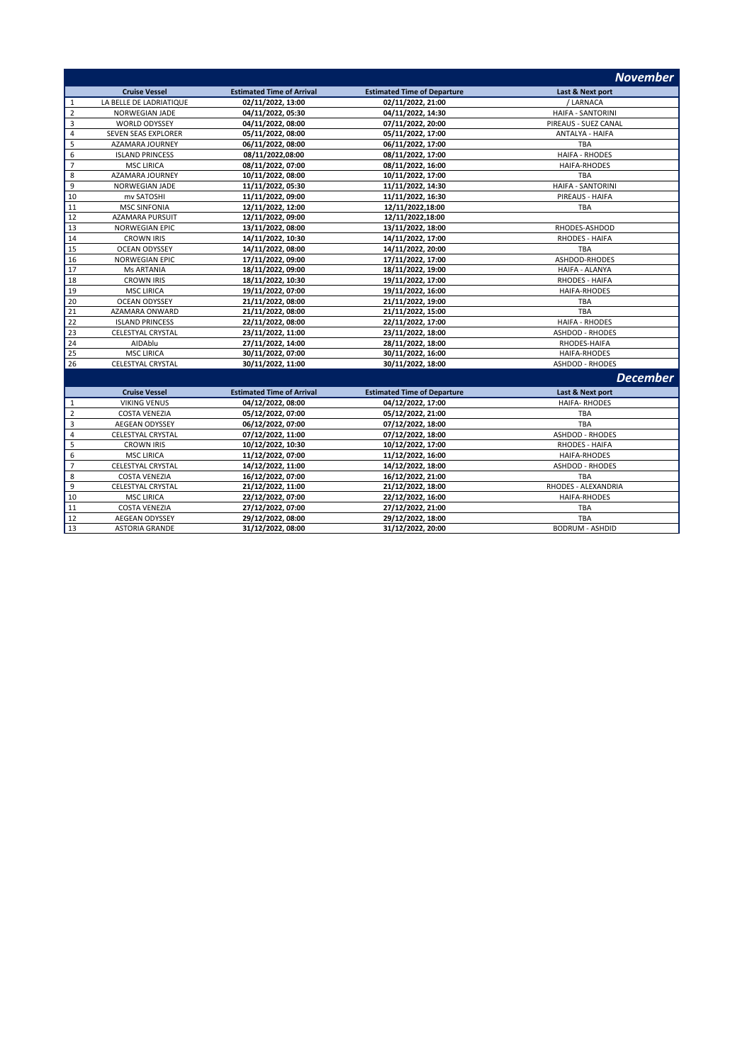|                         |                          |                                  |                                    | <b>November</b>        |
|-------------------------|--------------------------|----------------------------------|------------------------------------|------------------------|
|                         | <b>Cruise Vessel</b>     | <b>Estimated Time of Arrival</b> | <b>Estimated Time of Departure</b> | Last & Next port       |
| $\mathbf{1}$            | LA BELLE DE LADRIATIQUE  | 02/11/2022, 13:00                | 02/11/2022, 21:00                  | / LARNACA              |
| $\sqrt{2}$              | NORWEGIAN JADE           | 04/11/2022, 05:30                | 04/11/2022, 14:30                  | HAIFA - SANTORINI      |
| $\mathsf 3$             | <b>WORLD ODYSSEY</b>     | 04/11/2022, 08:00                | 07/11/2022, 20:00                  | PIREAUS - SUEZ CANAL   |
| $\overline{\mathbf{4}}$ | SEVEN SEAS EXPLORER      | 05/11/2022, 08:00                | 05/11/2022, 17:00                  | ANTALYA - HAIFA        |
| 5                       | AZAMARA JOURNEY          | 06/11/2022, 08:00                | 06/11/2022, 17:00                  | TBA                    |
| 6                       | <b>ISLAND PRINCESS</b>   | 08/11/2022,08:00                 | 08/11/2022, 17:00                  | <b>HAIFA - RHODES</b>  |
| $\overline{7}$          | <b>MSC LIRICA</b>        | 08/11/2022, 07:00                | 08/11/2022, 16:00                  | HAIFA-RHODES           |
| 8                       | AZAMARA JOURNEY          | 10/11/2022, 08:00                | 10/11/2022, 17:00                  | <b>TBA</b>             |
| 9                       | NORWEGIAN JADE           | 11/11/2022, 05:30                | 11/11/2022, 14:30                  | HAIFA - SANTORINI      |
| 10                      | mv SATOSHI               | 11/11/2022, 09:00                | 11/11/2022, 16:30                  | PIREAUS - HAIFA        |
| 11                      | <b>MSC SINFONIA</b>      | 12/11/2022, 12:00                | 12/11/2022,18:00                   | TBA                    |
| 12                      | <b>AZAMARA PURSUIT</b>   | 12/11/2022, 09:00                | 12/11/2022,18:00                   |                        |
| 13                      | <b>NORWEGIAN EPIC</b>    | 13/11/2022, 08:00                | 13/11/2022, 18:00                  | RHODES-ASHDOD          |
| 14                      | <b>CROWN IRIS</b>        | 14/11/2022, 10:30                | 14/11/2022, 17:00                  | RHODES - HAIFA         |
| 15                      | <b>OCEAN ODYSSEY</b>     | 14/11/2022, 08:00                | 14/11/2022, 20:00                  | TBA                    |
| 16                      | <b>NORWEGIAN EPIC</b>    | 17/11/2022, 09:00                | 17/11/2022, 17:00                  | ASHDOD-RHODES          |
| 17                      | <b>Ms ARTANIA</b>        | 18/11/2022, 09:00                | 18/11/2022, 19:00                  | HAIFA - ALANYA         |
| 18                      | <b>CROWN IRIS</b>        | 18/11/2022, 10:30                | 19/11/2022, 17:00                  | RHODES - HAIFA         |
| 19                      | <b>MSC LIRICA</b>        | 19/11/2022, 07:00                | 19/11/2022, 16:00                  | HAIFA-RHODES           |
| 20                      | <b>OCEAN ODYSSEY</b>     | 21/11/2022, 08:00                | 21/11/2022, 19:00                  | TBA                    |
| 21                      | AZAMARA ONWARD           | 21/11/2022, 08:00                | 21/11/2022, 15:00                  | <b>TBA</b>             |
| 22                      | <b>ISLAND PRINCESS</b>   | 22/11/2022, 08:00                | 22/11/2022, 17:00                  | <b>HAIFA - RHODES</b>  |
| 23                      | <b>CELESTYAL CRYSTAL</b> | 23/11/2022, 11:00                | 23/11/2022, 18:00                  | <b>ASHDOD - RHODES</b> |
| 24                      | AIDAblu                  | 27/11/2022, 14:00                | 28/11/2022, 18:00                  | RHODES-HAIFA           |
| 25                      | <b>MSC LIRICA</b>        | 30/11/2022, 07:00                | 30/11/2022, 16:00                  | <b>HAIFA-RHODES</b>    |
| 26                      | CELESTYAL CRYSTAL        | 30/11/2022, 11:00                | 30/11/2022, 18:00                  | ASHDOD - RHODES        |
|                         |                          |                                  |                                    | <b>December</b>        |
|                         | <b>Cruise Vessel</b>     | <b>Estimated Time of Arrival</b> | <b>Estimated Time of Departure</b> | Last & Next port       |
| 1                       | <b>VIKING VENUS</b>      | 04/12/2022, 08:00                | 04/12/2022, 17:00                  | <b>HAIFA-RHODES</b>    |
| $\mathbf 2$             | <b>COSTA VENEZIA</b>     | 05/12/2022, 07:00                | 05/12/2022, 21:00                  | TBA                    |
| 3                       | AEGEAN ODYSSEY           | 06/12/2022, 07:00                | 07/12/2022, 18:00                  | <b>TBA</b>             |
| $\sqrt{4}$              | CELESTYAL CRYSTAL        | 07/12/2022, 11:00                | 07/12/2022, 18:00                  | <b>ASHDOD - RHODES</b> |
| 5                       | <b>CROWN IRIS</b>        | 10/12/2022, 10:30                | 10/12/2022, 17:00                  | RHODES - HAIFA         |
| 6                       | <b>MSC LIRICA</b>        | 11/12/2022, 07:00                | 11/12/2022, 16:00                  | HAIFA-RHODES           |
| $\overline{7}$          | <b>CELESTYAL CRYSTAL</b> | 14/12/2022, 11:00                | 14/12/2022, 18:00                  | <b>ASHDOD - RHODES</b> |
| 8                       | <b>COSTA VENEZIA</b>     | 16/12/2022, 07:00                | 16/12/2022, 21:00                  | TBA                    |
| 9                       | CELESTYAL CRYSTAL        | 21/12/2022, 11:00                | 21/12/2022, 18:00                  | RHODES - ALEXANDRIA    |
| 10                      | <b>MSC LIRICA</b>        | 22/12/2022, 07:00                | 22/12/2022, 16:00                  | HAIFA-RHODES           |
| 11                      | <b>COSTA VENEZIA</b>     | 27/12/2022, 07:00                | 27/12/2022, 21:00                  | <b>TBA</b>             |
| 12                      | AEGEAN ODYSSEY           | 29/12/2022, 08:00                | 29/12/2022, 18:00                  | TBA                    |
| 13                      | <b>ASTORIA GRANDE</b>    | 31/12/2022, 08:00                | 31/12/2022, 20:00                  | <b>BODRUM - ASHDID</b> |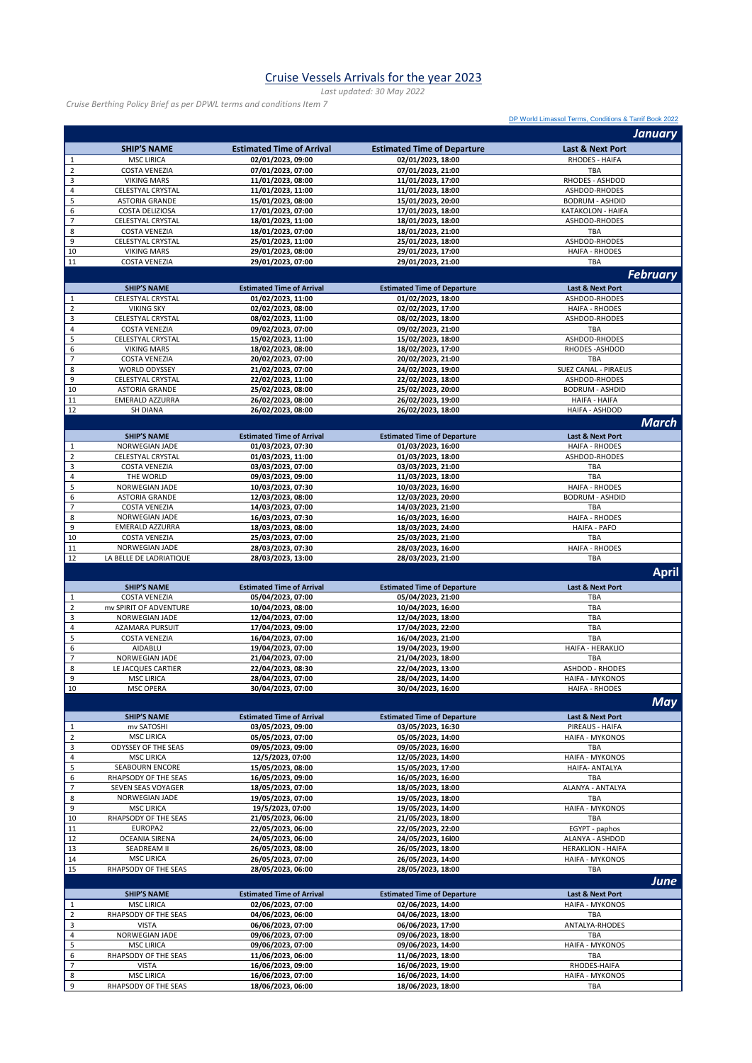## Cruise Vessels Arrivals for the year 2023

*Last updated: 30 May 2022*

*Cruise Berthing Policy Brief as per DPWL terms and conditions Item 7*

[DP World Limassol Terms, Conditions & Tarrif Book 2022](https://www.dpworld.com/limassol/-/media/limassol/5-dpwl-tariff-2022-v70-index-0322.pdf?rev=63c683e364b84a3b944efc0b98c3a983&hash=9647E4DF5215F5EB642099478F2A2504)

|                              |                                            |                                        |                                        | <b>January</b>                                     |
|------------------------------|--------------------------------------------|----------------------------------------|----------------------------------------|----------------------------------------------------|
|                              | <b>SHIP'S NAME</b>                         | <b>Estimated Time of Arrival</b>       | <b>Estimated Time of Departure</b>     | <b>Last &amp; Next Port</b>                        |
| $\mathbf{1}$                 | <b>MSC LIRICA</b>                          | 02/01/2023, 09:00                      | 02/01/2023, 18:00                      | RHODES - HAIFA                                     |
| $\overline{2}$               | <b>COSTA VENEZIA</b>                       | 07/01/2023, 07:00                      | 07/01/2023, 21:00                      | TBA                                                |
| 3                            | <b>VIKING MARS</b>                         | 11/01/2023, 08:00                      | 11/01/2023, 17:00                      | RHODES - ASHDOD                                    |
| $\overline{\mathbf{4}}$<br>5 | CELESTYAL CRYSTAL<br><b>ASTORIA GRANDE</b> | 11/01/2023, 11:00<br>15/01/2023, 08:00 | 11/01/2023, 18:00<br>15/01/2023, 20:00 | ASHDOD-RHODES<br><b>BODRUM - ASHDID</b>            |
| 6                            | COSTA DELIZIOSA                            | 17/01/2023, 07:00                      | 17/01/2023, 18:00                      | KATAKOLON - HAIFA                                  |
| $\overline{7}$               | CELESTYAL CRYSTAL                          | 18/01/2023, 11:00                      | 18/01/2023, 18:00                      | ASHDOD-RHODES                                      |
| 8                            | <b>COSTA VENEZIA</b>                       | 18/01/2023, 07:00                      | 18/01/2023, 21:00                      | <b>TBA</b>                                         |
| 9                            | CELESTYAL CRYSTAL                          | 25/01/2023, 11:00                      | 25/01/2023, 18:00                      | ASHDOD-RHODES                                      |
| 10                           | <b>VIKING MARS</b>                         | 29/01/2023, 08:00                      | 29/01/2023, 17:00                      | <b>HAIFA - RHODES</b>                              |
| 11                           | <b>COSTA VENEZIA</b>                       | 29/01/2023, 07:00                      | 29/01/2023, 21:00                      | TBA                                                |
|                              |                                            |                                        |                                        | <b>February</b>                                    |
|                              | <b>SHIP'S NAME</b>                         | <b>Estimated Time of Arrival</b>       | <b>Estimated Time of Departure</b>     | Last & Next Port                                   |
| 1<br>$\mathbf 2$             | CELESTYAL CRYSTAL                          | 01/02/2023, 11:00                      | 01/02/2023, 18:00                      | ASHDOD-RHODES                                      |
| 3                            | <b>VIKING SKY</b><br>CELESTYAL CRYSTAL     | 02/02/2023, 08:00<br>08/02/2023, 11:00 | 02/02/2023, 17:00<br>08/02/2023, 18:00 | <b>HAIFA - RHODES</b><br>ASHDOD-RHODES             |
| $\overline{\mathbf{4}}$      | <b>COSTA VENEZIA</b>                       | 09/02/2023, 07:00                      | 09/02/2023, 21:00                      | TBA                                                |
| 5                            | CELESTYAL CRYSTAL                          | 15/02/2023, 11:00                      | 15/02/2023, 18:00                      | ASHDOD-RHODES                                      |
| 6                            | <b>VIKING MARS</b>                         | 18/02/2023, 08:00                      | 18/02/2023, 17:00                      | RHODES-ASHDOD                                      |
| $\overline{7}$               | <b>COSTA VENEZIA</b>                       | 20/02/2023, 07:00                      | 20/02/2023, 21:00                      | TBA                                                |
| 8                            | <b>WORLD ODYSSEY</b>                       | 21/02/2023, 07:00                      | 24/02/2023, 19:00                      | SUEZ CANAL - PIRAEUS                               |
| 9<br>10                      | CELESTYAL CRYSTAL<br><b>ASTORIA GRANDE</b> | 22/02/2023, 11:00<br>25/02/2023, 08:00 | 22/02/2023, 18:00<br>25/02/2023, 20:00 | ASHDOD-RHODES<br><b>BODRUM - ASHDID</b>            |
| 11                           | EMERALD AZZURRA                            | 26/02/2023, 08:00                      | 26/02/2023, 19:00                      | <b>HAIFA - HAIFA</b>                               |
| 12                           | <b>SH DIANA</b>                            | 26/02/2023, 08:00                      | 26/02/2023, 18:00                      | HAIFA - ASHDOD                                     |
|                              |                                            |                                        |                                        | March                                              |
|                              | <b>SHIP'S NAME</b>                         | <b>Estimated Time of Arrival</b>       | <b>Estimated Time of Departure</b>     | Last & Next Port                                   |
| 1                            | NORWEGIAN JADE                             | 01/03/2023.07:30                       | 01/03/2023, 16:00                      | <b>HAIFA - RHODES</b>                              |
| $\mathbf 2$                  | CELESTYAL CRYSTAL                          | 01/03/2023, 11:00                      | 01/03/2023, 18:00                      | ASHDOD-RHODES                                      |
| 3                            | <b>COSTA VENEZIA</b>                       | 03/03/2023, 07:00                      | 03/03/2023, 21:00                      | TBA                                                |
| $\sqrt{4}$                   | THE WORLD                                  | 09/03/2023, 09:00                      | 11/03/2023, 18:00                      | TBA                                                |
| 5                            | NORWEGIAN JADE                             | 10/03/2023, 07:30                      | 10/03/2023, 16:00                      | <b>HAIFA - RHODES</b>                              |
| 6<br>$\overline{7}$          | <b>ASTORIA GRANDE</b>                      | 12/03/2023, 08:00                      | 12/03/2023, 20:00                      | <b>BODRUM - ASHDID</b>                             |
| 8                            | <b>COSTA VENEZIA</b><br>NORWEGIAN JADE     | 14/03/2023, 07:00<br>16/03/2023, 07:30 | 14/03/2023, 21:00<br>16/03/2023, 16:00 | TBA<br><b>HAIFA - RHODES</b>                       |
| 9                            | <b>EMERALD AZZURRA</b>                     | 18/03/2023, 08:00                      | 18/03/2023, 24:00                      | <b>HAIFA - PAFO</b>                                |
| 10                           | <b>COSTA VENEZIA</b>                       | 25/03/2023, 07:00                      | 25/03/2023, 21:00                      | TBA                                                |
| 11                           | NORWEGIAN JADE                             | 28/03/2023, 07:30                      | 28/03/2023, 16:00                      | <b>HAIFA - RHODES</b>                              |
| 12                           | LA BELLE DE LADRIATIQUE                    | 28/03/2023, 13:00                      | 28/03/2023, 21:00                      | TBA                                                |
|                              |                                            |                                        |                                        |                                                    |
|                              |                                            |                                        |                                        | April                                              |
|                              | <b>SHIP'S NAME</b>                         | <b>Estimated Time of Arrival</b>       | <b>Estimated Time of Departure</b>     | Last & Next Port                                   |
| $\mathbf{1}$                 | <b>COSTA VENEZIA</b>                       | 05/04/2023, 07:00                      | 05/04/2023, 21:00                      | TBA                                                |
| $\overline{2}$               | mv SPIRIT OF ADVENTURE                     | 10/04/2023, 08:00                      | 10/04/2023, 16:00                      | TBA                                                |
| $\overline{\mathbf{3}}$      | NORWEGIAN JADE                             | 12/04/2023, 07:00                      | 12/04/2023, 18:00                      | TBA                                                |
| $\overline{4}$               | <b>AZAMARA PURSUIT</b>                     | 17/04/2023, 09:00                      | 17/04/2023, 22:00                      | TBA                                                |
| 5                            | <b>COSTA VENEZIA</b>                       | 16/04/2023, 07:00                      | 16/04/2023, 21:00                      | TBA                                                |
| 6<br>$\overline{7}$          | AIDABLU                                    | 19/04/2023, 07:00                      | 19/04/2023, 19:00<br>21/04/2023, 18:00 | HAIFA - HERAKLIO<br>TBA                            |
| 8                            | NORWEGIAN JADE<br>LE JACQUES CARTIER       | 21/04/2023, 07:00<br>22/04/2023, 08:30 | 22/04/2023, 13:00                      | <b>ASHDOD - RHODES</b>                             |
| 9                            | <b>MSC LIRICA</b>                          | 28/04/2023, 07:00                      | 28/04/2023, 14:00                      | <b>HAIFA - MYKONOS</b>                             |
| 10                           | <b>MSC OPERA</b>                           | 30/04/2023, 07:00                      | 30/04/2023, 16:00                      | <b>HAIFA - RHODES</b>                              |
|                              |                                            |                                        |                                        | May                                                |
|                              | <b>SHIP'S NAME</b>                         | <b>Estimated Time of Arrival</b>       | <b>Estimated Time of Departure</b>     | Last & Next Port                                   |
| $\frac{1}{2}$                | mv SATOSHI                                 | 03/05/2023, 09:00                      | 03/05/2023, 16:30                      | PIREAUS - HAIFA                                    |
| $\overline{2}$               | <b>MSC LIRICA</b>                          | 05/05/2023, 07:00                      | 05/05/2023, 14:00                      | <b>HAIFA - MYKONOS</b>                             |
| $\mathbf{3}$                 | ODYSSEY OF THE SEAS                        | 09/05/2023, 09:00                      | 09/05/2023, 16:00                      | <b>TBA</b>                                         |
| $\pmb{4}$                    | <b>MSC LIRICA</b>                          | 12/5/2023, 07:00                       | 12/05/2023, 14:00                      | <b>HAIFA - MYKONOS</b>                             |
| 5                            | SEABOURN ENCORE                            | 15/05/2023, 08:00                      | 15/05/2023, 17:00                      | HAIFA- ANTALYA                                     |
| 6<br>$\overline{7}$          | RHAPSODY OF THE SEAS<br>SEVEN SEAS VOYAGER | 16/05/2023, 09:00<br>18/05/2023, 07:00 | 16/05/2023, 16:00<br>18/05/2023, 18:00 | TBA<br>ALANYA - ANTALYA                            |
| 8                            | NORWEGIAN JADE                             | 19/05/2023, 07:00                      | 19/05/2023, 18:00                      | TBA                                                |
| 9                            | <b>MSC LIRICA</b>                          | 19/5/2023, 07:00                       | 19/05/2023, 14:00                      | <b>HAIFA - MYKONOS</b>                             |
| 10                           | RHAPSODY OF THE SEAS                       | 21/05/2023, 06:00                      | 21/05/2023, 18:00                      | TBA                                                |
| 11                           | EUROPA2                                    | 22/05/2023, 06:00                      | 22/05/2023, 22:00                      | EGYPT - paphos                                     |
| 12                           | <b>OCEANIA SIRENA</b>                      | 24/05/2023, 06:00                      | 24/05/2023, 16l00                      | ALANYA - ASHDOD                                    |
| 13<br>14                     | SEADREAM II<br><b>MSC LIRICA</b>           | 26/05/2023, 08:00<br>26/05/2023, 07:00 | 26/05/2023, 18:00<br>26/05/2023, 14:00 | <b>HERAKLION - HAIFA</b><br><b>HAIFA - MYKONOS</b> |
| 15                           | RHAPSODY OF THE SEAS                       | 28/05/2023, 06:00                      | 28/05/2023, 18:00                      | TBA                                                |
|                              |                                            |                                        |                                        | June                                               |
|                              | <b>SHIP'S NAME</b>                         | <b>Estimated Time of Arrival</b>       | <b>Estimated Time of Departure</b>     | Last & Next Port                                   |
| $\mathbf{1}$                 | <b>MSC LIRICA</b>                          | 02/06/2023, 07:00                      | 02/06/2023, 14:00                      | <b>HAIFA - MYKONOS</b>                             |
| $\mathbf 2$                  | RHAPSODY OF THE SEAS                       | 04/06/2023, 06:00                      | 04/06/2023, 18:00                      | TBA                                                |
| 3                            | <b>VISTA</b>                               | 06/06/2023, 07:00                      | 06/06/2023, 17:00                      | ANTALYA-RHODES                                     |
| $\overline{\mathbf{4}}$      | NORWEGIAN JADE                             | 09/06/2023, 07:00                      | 09/06/2023, 18:00                      | TBA                                                |
| 5<br>6                       | <b>MSC LIRICA</b><br>RHAPSODY OF THE SEAS  | 09/06/2023, 07:00<br>11/06/2023, 06:00 | 09/06/2023, 14:00<br>11/06/2023, 18:00 | <b>HAIFA - MYKONOS</b><br>TBA                      |
| $\overline{7}$               | <b>VISTA</b>                               | 16/06/2023, 09:00                      | 16/06/2023, 19:00                      | RHODES-HAIFA                                       |
| 8<br>9                       | <b>MSC LIRICA</b><br>RHAPSODY OF THE SEAS  | 16/06/2023, 07:00<br>18/06/2023, 06:00 | 16/06/2023, 14:00<br>18/06/2023, 18:00 | <b>HAIFA - MYKONOS</b><br>TBA                      |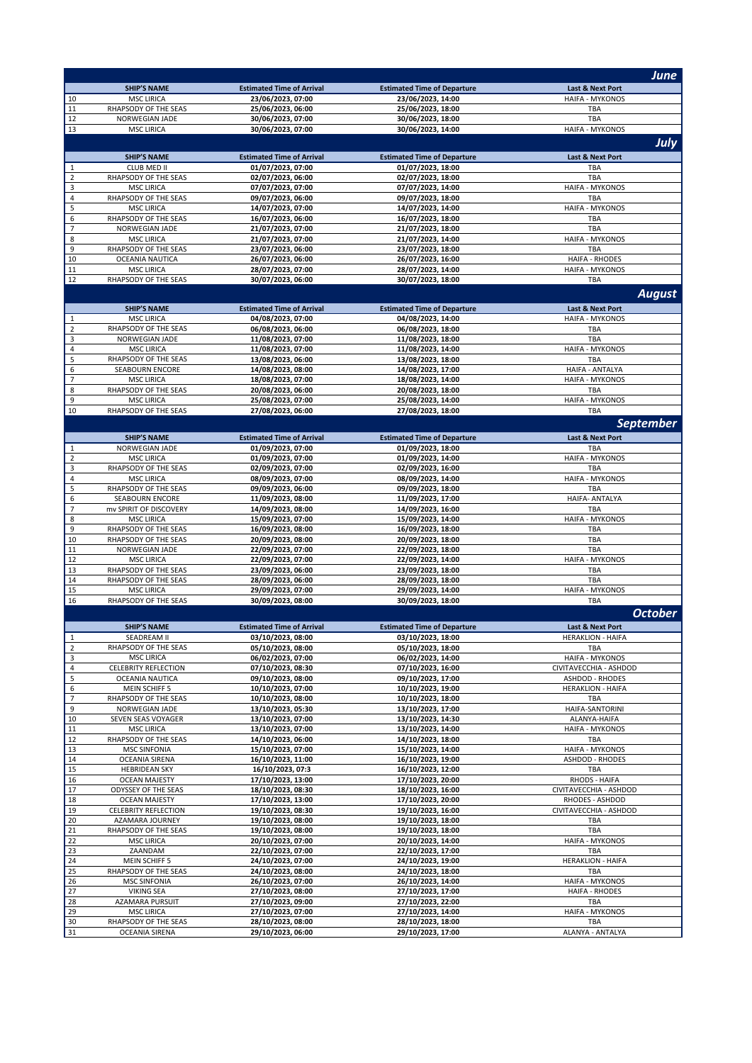|                         |                                               |                                                       |                                                         | <b>June</b>                                      |
|-------------------------|-----------------------------------------------|-------------------------------------------------------|---------------------------------------------------------|--------------------------------------------------|
|                         | <b>SHIP'S NAME</b>                            | <b>Estimated Time of Arrival</b>                      | <b>Estimated Time of Departure</b>                      | Last & Next Port                                 |
| 10                      | <b>MSC LIRICA</b>                             | 23/06/2023, 07:00                                     | 23/06/2023, 14:00                                       | <b>HAIFA - MYKONOS</b>                           |
| 11                      | RHAPSODY OF THE SEAS                          | 25/06/2023, 06:00                                     | 25/06/2023, 18:00                                       | <b>TBA</b>                                       |
| 12                      | NORWEGIAN JADE                                | 30/06/2023, 07:00                                     | 30/06/2023, 18:00                                       | TBA                                              |
| 13                      | <b>MSC LIRICA</b>                             | 30/06/2023, 07:00                                     | 30/06/2023, 14:00                                       | <b>HAIFA - MYKONOS</b>                           |
|                         |                                               |                                                       |                                                         | July                                             |
| $\mathbf 1$             | <b>SHIP'S NAME</b><br>CLUB MED II             | <b>Estimated Time of Arrival</b><br>01/07/2023, 07:00 | <b>Estimated Time of Departure</b><br>01/07/2023, 18:00 | Last & Next Port<br>TBA                          |
| $\overline{2}$          | RHAPSODY OF THE SEAS                          | 02/07/2023, 06:00                                     | 02/07/2023, 18:00                                       | TBA                                              |
| $\overline{\mathbf{3}}$ | <b>MSC LIRICA</b>                             | 07/07/2023, 07:00                                     | 07/07/2023, 14:00                                       | <b>HAIFA - MYKONOS</b>                           |
| $\overline{4}$          | RHAPSODY OF THE SEAS                          | 09/07/2023, 06:00                                     | 09/07/2023, 18:00                                       | TBA                                              |
| 5                       | <b>MSC LIRICA</b>                             | 14/07/2023, 07:00                                     | 14/07/2023, 14:00                                       | <b>HAIFA - MYKONOS</b>                           |
| 6                       | RHAPSODY OF THE SEAS                          | 16/07/2023, 06:00                                     | 16/07/2023, 18:00                                       | TBA                                              |
| $\overline{7}$          | NORWEGIAN JADE                                | 21/07/2023, 07:00                                     | 21/07/2023, 18:00                                       | <b>TBA</b>                                       |
| 8<br>9                  | <b>MSC LIRICA</b>                             | 21/07/2023, 07:00                                     | 21/07/2023, 14:00                                       | <b>HAIFA - MYKONOS</b>                           |
| 10                      | RHAPSODY OF THE SEAS<br>OCEANIA NAUTICA       | 23/07/2023, 06:00<br>26/07/2023, 06:00                | 23/07/2023, 18:00<br>26/07/2023, 16:00                  | TBA<br><b>HAIFA - RHODES</b>                     |
| 11                      | <b>MSC LIRICA</b>                             | 28/07/2023, 07:00                                     | 28/07/2023, 14:00                                       | <b>HAIFA - MYKONOS</b>                           |
| 12                      | RHAPSODY OF THE SEAS                          | 30/07/2023, 06:00                                     | 30/07/2023, 18:00                                       | TBA                                              |
|                         |                                               |                                                       |                                                         | <b>August</b>                                    |
|                         | <b>SHIP'S NAME</b>                            | <b>Estimated Time of Arrival</b>                      | <b>Estimated Time of Departure</b>                      | Last & Next Port                                 |
| $\mathbf 1$             | <b>MSC LIRICA</b>                             | 04/08/2023, 07:00                                     | 04/08/2023, 14:00                                       | <b>HAIFA - MYKONOS</b>                           |
| $\overline{2}$          | RHAPSODY OF THE SEAS                          | 06/08/2023, 06:00                                     | 06/08/2023, 18:00                                       | TBA                                              |
| $\overline{\mathbf{3}}$ | NORWEGIAN JADE                                | 11/08/2023, 07:00                                     | 11/08/2023, 18:00                                       | TBA                                              |
| $\overline{4}$          | <b>MSC LIRICA</b>                             | 11/08/2023, 07:00                                     | 11/08/2023, 14:00                                       | <b>HAIFA - MYKONOS</b>                           |
| 5                       | RHAPSODY OF THE SEAS                          | 13/08/2023, 06:00                                     | 13/08/2023, 18:00                                       | TBA                                              |
| 6<br>$\overline{7}$     | <b>SEABOURN ENCORE</b><br><b>MSC LIRICA</b>   | 14/08/2023, 08:00<br>18/08/2023, 07:00                | 14/08/2023, 17:00<br>18/08/2023, 14:00                  | <b>HAIFA - ANTALYA</b><br><b>HAIFA - MYKONOS</b> |
| 8                       | RHAPSODY OF THE SEAS                          | 20/08/2023, 06:00                                     | 20/08/2023, 18:00                                       | TBA                                              |
| 9                       | <b>MSC LIRICA</b>                             | 25/08/2023, 07:00                                     | 25/08/2023, 14:00                                       | <b>HAIFA - MYKONOS</b>                           |
| 10                      | RHAPSODY OF THE SEAS                          | 27/08/2023, 06:00                                     | 27/08/2023, 18:00                                       | TBA                                              |
|                         |                                               |                                                       |                                                         | <b>September</b>                                 |
|                         | <b>SHIP'S NAME</b>                            | <b>Estimated Time of Arrival</b>                      | <b>Estimated Time of Departure</b>                      | Last & Next Port                                 |
| 1                       | NORWEGIAN JADE                                | 01/09/2023, 07:00                                     | 01/09/2023, 18:00                                       | TBA                                              |
| $\overline{2}$          | <b>MSC LIRICA</b>                             | 01/09/2023, 07:00                                     | 01/09/2023, 14:00                                       | <b>HAIFA - MYKONOS</b>                           |
| 3                       | RHAPSODY OF THE SEAS                          | 02/09/2023, 07:00                                     | 02/09/2023, 16:00                                       | TBA                                              |
| $\overline{4}$<br>5     | <b>MSC LIRICA</b><br>RHAPSODY OF THE SEAS     | 08/09/2023, 07:00<br>09/09/2023, 06:00                | 08/09/2023, 14:00<br>09/09/2023, 18:00                  | <b>HAIFA - MYKONOS</b><br>TBA                    |
| $\boldsymbol{6}$        | <b>SEABOURN ENCORE</b>                        | 11/09/2023, 08:00                                     | 11/09/2023, 17:00                                       | HAIFA- ANTALYA                                   |
| $\overline{7}$          | mv SPIRIT OF DISCOVERY                        | 14/09/2023, 08:00                                     | 14/09/2023, 16:00                                       | <b>TBA</b>                                       |
| 8                       | <b>MSC LIRICA</b>                             | 15/09/2023, 07:00                                     | 15/09/2023, 14:00                                       | <b>HAIFA - MYKONOS</b>                           |
| 9                       | RHAPSODY OF THE SEAS                          | 16/09/2023, 08:00                                     | 16/09/2023, 18:00                                       | TBA                                              |
| 10                      | RHAPSODY OF THE SEAS                          | 20/09/2023, 08:00                                     | 20/09/2023, 18:00                                       | <b>TBA</b>                                       |
| 11<br>12                | NORWEGIAN JADE<br><b>MSC LIRICA</b>           | 22/09/2023, 07:00<br>22/09/2023, 07:00                | 22/09/2023, 18:00<br>22/09/2023, 14:00                  | TBA<br><b>HAIFA - MYKONOS</b>                    |
| 13                      | RHAPSODY OF THE SEAS                          | 23/09/2023, 06:00                                     | 23/09/2023, 18:00                                       | <b>TBA</b>                                       |
| 14                      | RHAPSODY OF THE SEAS                          | 28/09/2023, 06:00                                     | 28/09/2023, 18:00                                       | TBA                                              |
| 15                      | <b>MSC LIRICA</b>                             | 29/09/2023, 07:00                                     | 29/09/2023, 14:00                                       | <b>HAIFA - MYKONOS</b>                           |
| 16                      | RHAPSODY OF THE SEAS                          | 30/09/2023, 08:00                                     | 30/09/2023, 18:00                                       | TBA                                              |
|                         |                                               |                                                       |                                                         | <b>October</b>                                   |
|                         | <b>SHIP'S NAME</b>                            | <b>Estimated Time of Arrival</b>                      | <b>Estimated Time of Departure</b>                      | <b>Last &amp; Next Port</b>                      |
| $\mathbf{1}$            | SEADREAM II                                   | 03/10/2023, 08:00                                     | 03/10/2023, 18:00                                       | <b>HERAKLION - HAIFA</b>                         |
| $\overline{2}$          | RHAPSODY OF THE SEAS<br><b>MSC LIRICA</b>     | 05/10/2023, 08:00<br>06/02/2023, 07:00                | 05/10/2023, 18:00                                       | TBA<br><b>HAIFA - MYKONOS</b>                    |
| 3<br>4                  | <b>CELEBRITY REFLECTION</b>                   | 07/10/2023, 08:30                                     | 06/02/2023, 14:00<br>07/10/2023, 16:00                  | CIVITAVECCHIA - ASHDOD                           |
| ${\mathsf 5}$           | OCEANIA NAUTICA                               | 09/10/2023, 08:00                                     | 09/10/2023, 17:00                                       | ASHDOD - RHODES                                  |
| 6                       | <b>MEIN SCHIFF 5</b>                          | 10/10/2023, 07:00                                     | 10/10/2023, 19:00                                       | <b>HERAKLION - HAIFA</b>                         |
| $\overline{7}$          | RHAPSODY OF THE SEAS                          | 10/10/2023, 08:00                                     | 10/10/2023, 18:00                                       | TBA                                              |
| 9                       | NORWEGIAN JADE                                | 13/10/2023, 05:30                                     | 13/10/2023, 17:00                                       | HAIFA-SANTORINI                                  |
| 10<br>11                | SEVEN SEAS VOYAGER                            | 13/10/2023, 07:00<br>13/10/2023, 07:00                | 13/10/2023, 14:30<br>13/10/2023, 14:00                  | ALANYA-HAIFA<br><b>HAIFA - MYKONOS</b>           |
| 12                      | <b>MSC LIRICA</b><br>RHAPSODY OF THE SEAS     | 14/10/2023, 06:00                                     | 14/10/2023, 18:00                                       | TBA                                              |
| 13                      | <b>MSC SINFONIA</b>                           | 15/10/2023, 07:00                                     | 15/10/2023, 14:00                                       | <b>HAIFA - MYKONOS</b>                           |
| 14                      | OCEANIA SIRENA                                | 16/10/2023, 11:00                                     | 16/10/2023, 19:00                                       | <b>ASHDOD - RHODES</b>                           |
| 15                      | <b>HEBRIDEAN SKY</b>                          | 16/10/2023, 07:3                                      | 16/10/2023, 12:00                                       | TBA                                              |
| 16                      | <b>OCEAN MAJESTY</b>                          | 17/10/2023, 13:00                                     | 17/10/2023, 20:00                                       | RHODS - HAIFA                                    |
| 17<br>18                | ODYSSEY OF THE SEAS<br><b>OCEAN MAJESTY</b>   | 18/10/2023, 08:30<br>17/10/2023, 13:00                | 18/10/2023, 16:00<br>17/10/2023, 20:00                  | CIVITAVECCHIA - ASHDOD<br>RHODES - ASHDOD        |
| 19                      | <b>CELEBRITY REFLECTION</b>                   | 19/10/2023, 08:30                                     | 19/10/2023, 16:00                                       | CIVITAVECCHIA - ASHDOD                           |
| 20                      | AZAMARA JOURNEY                               | 19/10/2023, 08:00                                     | 19/10/2023, 18:00                                       | TBA                                              |
| 21                      | RHAPSODY OF THE SEAS                          | 19/10/2023, 08:00                                     | 19/10/2023, 18:00                                       | TBA                                              |
| 22                      | <b>MSC LIRICA</b>                             | 20/10/2023, 07:00                                     | 20/10/2023, 14:00                                       | <b>HAIFA - MYKONOS</b>                           |
| 23                      | ZAANDAM                                       | 22/10/2023, 07:00                                     | 22/10/2023, 17:00                                       | TBA                                              |
| 24<br>25                | <b>MEIN SCHIFF 5</b><br>RHAPSODY OF THE SEAS  | 24/10/2023, 07:00<br>24/10/2023, 08:00                | 24/10/2023, 19:00<br>24/10/2023, 18:00                  | <b>HERAKLION - HAIFA</b><br><b>TBA</b>           |
| 26                      | <b>MSC SINFONIA</b>                           | 26/10/2023, 07:00                                     | 26/10/2023, 14:00                                       | <b>HAIFA - MYKONOS</b>                           |
| 27                      | <b>VIKING SEA</b>                             | 27/10/2023, 08:00                                     | 27/10/2023, 17:00                                       | <b>HAIFA - RHODES</b>                            |
| 28                      | AZAMARA PURSUIT                               | 27/10/2023, 09:00                                     | 27/10/2023, 22:00                                       | TBA                                              |
| 29                      | <b>MSC LIRICA</b>                             | 27/10/2023, 07:00                                     | 27/10/2023, 14:00                                       | <b>HAIFA - MYKONOS</b>                           |
| 30<br>31                | RHAPSODY OF THE SEAS<br><b>OCEANIA SIRENA</b> | 28/10/2023, 08:00<br>29/10/2023, 06:00                | 28/10/2023, 18:00<br>29/10/2023, 17:00                  | TBA<br>ALANYA - ANTALYA                          |
|                         |                                               |                                                       |                                                         |                                                  |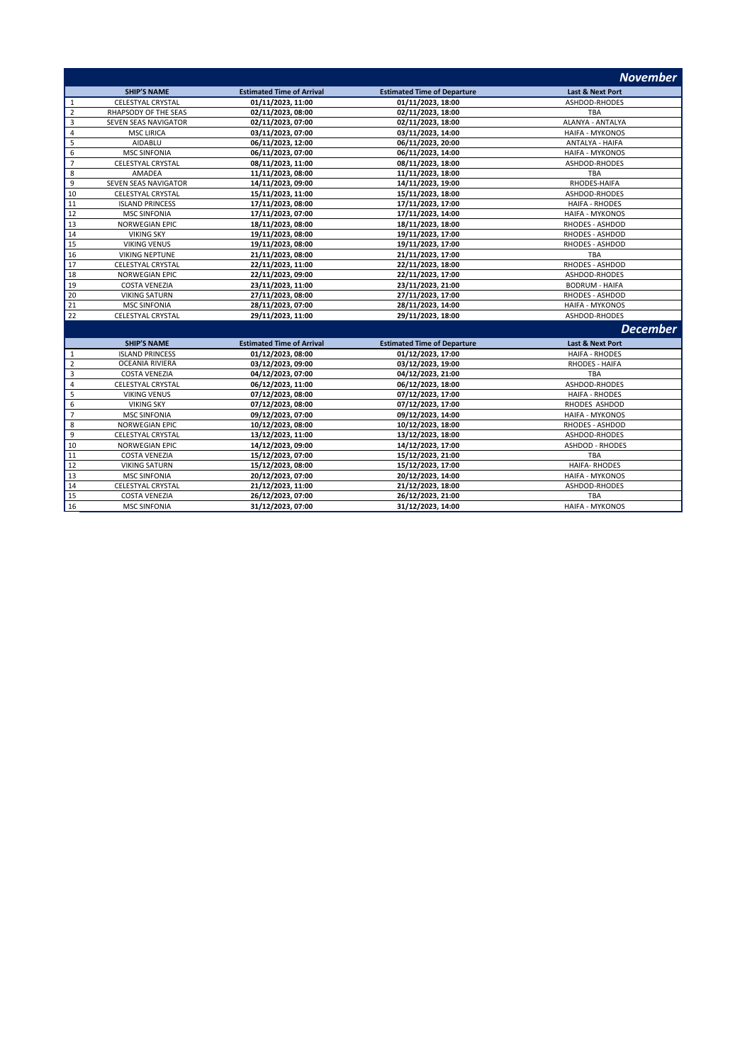|                |                             |                                  |                                    | <b>November</b>             |
|----------------|-----------------------------|----------------------------------|------------------------------------|-----------------------------|
|                | <b>SHIP'S NAME</b>          | <b>Estimated Time of Arrival</b> | <b>Estimated Time of Departure</b> | <b>Last &amp; Next Port</b> |
| 1              | <b>CELESTYAL CRYSTAL</b>    | 01/11/2023, 11:00                | 01/11/2023, 18:00                  | ASHDOD-RHODES               |
| $\overline{2}$ | RHAPSODY OF THE SEAS        | 02/11/2023, 08:00                | 02/11/2023, 18:00                  | <b>TBA</b>                  |
| 3              | <b>SEVEN SEAS NAVIGATOR</b> | 02/11/2023, 07:00                | 02/11/2023, 18:00                  | <b>ALANYA - ANTALYA</b>     |
| $\overline{4}$ | <b>MSC LIRICA</b>           | 03/11/2023, 07:00                | 03/11/2023, 14:00                  | <b>HAIFA - MYKONOS</b>      |
| 5              | AIDABLU                     | 06/11/2023, 12:00                | 06/11/2023, 20:00                  | ANTALYA - HAIFA             |
| 6              | <b>MSC SINFONIA</b>         | 06/11/2023, 07:00                | 06/11/2023, 14:00                  | <b>HAIFA - MYKONOS</b>      |
| $\overline{7}$ | CELESTYAL CRYSTAL           | 08/11/2023, 11:00                | 08/11/2023, 18:00                  | ASHDOD-RHODES               |
| 8              | AMADEA                      | 11/11/2023, 08:00                | 11/11/2023, 18:00                  | <b>TBA</b>                  |
| 9              | <b>SEVEN SEAS NAVIGATOR</b> | 14/11/2023, 09:00                | 14/11/2023, 19:00                  | RHODES-HAIFA                |
| 10             | <b>CELESTYAL CRYSTAL</b>    | 15/11/2023, 11:00                | 15/11/2023, 18:00                  | <b>ASHDOD-RHODES</b>        |
| 11             | <b>ISLAND PRINCESS</b>      | 17/11/2023, 08:00                | 17/11/2023, 17:00                  | <b>HAIFA - RHODES</b>       |
| 12             | <b>MSC SINFONIA</b>         | 17/11/2023, 07:00                | 17/11/2023, 14:00                  | <b>HAIFA - MYKONOS</b>      |
| 13             | <b>NORWEGIAN EPIC</b>       | 18/11/2023, 08:00                | 18/11/2023, 18:00                  | RHODES - ASHDOD             |
| 14             | <b>VIKING SKY</b>           | 19/11/2023, 08:00                | 19/11/2023, 17:00                  | RHODES - ASHDOD             |
| 15             | <b>VIKING VENUS</b>         | 19/11/2023, 08:00                | 19/11/2023, 17:00                  | RHODES - ASHDOD             |
| 16             | <b>VIKING NEPTUNE</b>       | 21/11/2023, 08:00                | 21/11/2023, 17:00                  | <b>TBA</b>                  |
| 17             | <b>CELESTYAL CRYSTAL</b>    | 22/11/2023, 11:00                | 22/11/2023, 18:00                  | RHODES - ASHDOD             |
| 18             | <b>NORWEGIAN EPIC</b>       | 22/11/2023, 09:00                | 22/11/2023, 17:00                  | ASHDOD-RHODES               |
| 19             | <b>COSTA VENEZIA</b>        | 23/11/2023, 11:00                | 23/11/2023, 21:00                  | <b>BODRUM - HAIFA</b>       |
| 20             | <b>VIKING SATURN</b>        | 27/11/2023, 08:00                | 27/11/2023, 17:00                  | RHODES - ASHDOD             |
| 21             | <b>MSC SINFONIA</b>         | 28/11/2023, 07:00                | 28/11/2023, 14:00                  | <b>HAIFA - MYKONOS</b>      |
| 22             | CELESTYAL CRYSTAL           | 29/11/2023, 11:00                | 29/11/2023, 18:00                  | ASHDOD-RHODES               |
|                |                             |                                  |                                    | <b>December</b>             |
|                | <b>SHIP'S NAME</b>          | <b>Estimated Time of Arrival</b> | <b>Estimated Time of Departure</b> | <b>Last &amp; Next Port</b> |
| 1              | <b>ISLAND PRINCESS</b>      | 01/12/2023, 08:00                | 01/12/2023, 17:00                  | <b>HAIFA - RHODES</b>       |
| $\sim$         | OCCASILA DIVIEDA            | $0.142$ $0.022$ $0.022$          | $0.142$ $0.022$ $0.02$             | BUORES USES                 |

|    | <b>ISLAND PRINCESS</b>   | 01/12/2023, 08:00 | 01/12/2023, 17:00 | HAIFA - RHODES         |
|----|--------------------------|-------------------|-------------------|------------------------|
|    | <b>OCEANIA RIVIERA</b>   | 03/12/2023, 09:00 | 03/12/2023, 19:00 | <b>RHODES - HAIFA</b>  |
| -3 | <b>COSTA VENEZIA</b>     | 04/12/2023, 07:00 | 04/12/2023, 21:00 | TBA                    |
|    | CELESTYAL CRYSTAL        | 06/12/2023, 11:00 | 06/12/2023, 18:00 | ASHDOD-RHODES          |
|    | <b>VIKING VENUS</b>      | 07/12/2023, 08:00 | 07/12/2023, 17:00 | <b>HAIFA - RHODES</b>  |
|    | <b>VIKING SKY</b>        | 07/12/2023, 08:00 | 07/12/2023, 17:00 | RHODES ASHDOD          |
|    | <b>MSC SINFONIA</b>      | 09/12/2023, 07:00 | 09/12/2023, 14:00 | <b>HAIFA - MYKONOS</b> |
| -8 | NORWEGIAN EPIC           | 10/12/2023, 08:00 | 10/12/2023, 18:00 | RHODES - ASHDOD        |
|    | CELESTYAL CRYSTAL        | 13/12/2023, 11:00 | 13/12/2023, 18:00 | ASHDOD-RHODES          |
| 10 | NORWEGIAN EPIC           | 14/12/2023, 09:00 | 14/12/2023, 17:00 | <b>ASHDOD - RHODES</b> |
| 11 | <b>COSTA VENEZIA</b>     | 15/12/2023, 07:00 | 15/12/2023, 21:00 | TBA                    |
| 12 | <b>VIKING SATURN</b>     | 15/12/2023, 08:00 | 15/12/2023, 17:00 | <b>HAIFA-RHODES</b>    |
| 13 | <b>MSC SINFONIA</b>      | 20/12/2023, 07:00 | 20/12/2023, 14:00 | <b>HAIFA - MYKONOS</b> |
| 14 | <b>CELESTYAL CRYSTAL</b> | 21/12/2023, 11:00 | 21/12/2023, 18:00 | ASHDOD-RHODES          |
| 15 | <b>COSTA VENEZIA</b>     | 26/12/2023, 07:00 | 26/12/2023, 21:00 | TBA                    |
| 16 | <b>MSC SINFONIA</b>      | 31/12/2023, 07:00 | 31/12/2023, 14:00 | <b>HAIFA - MYKONOS</b> |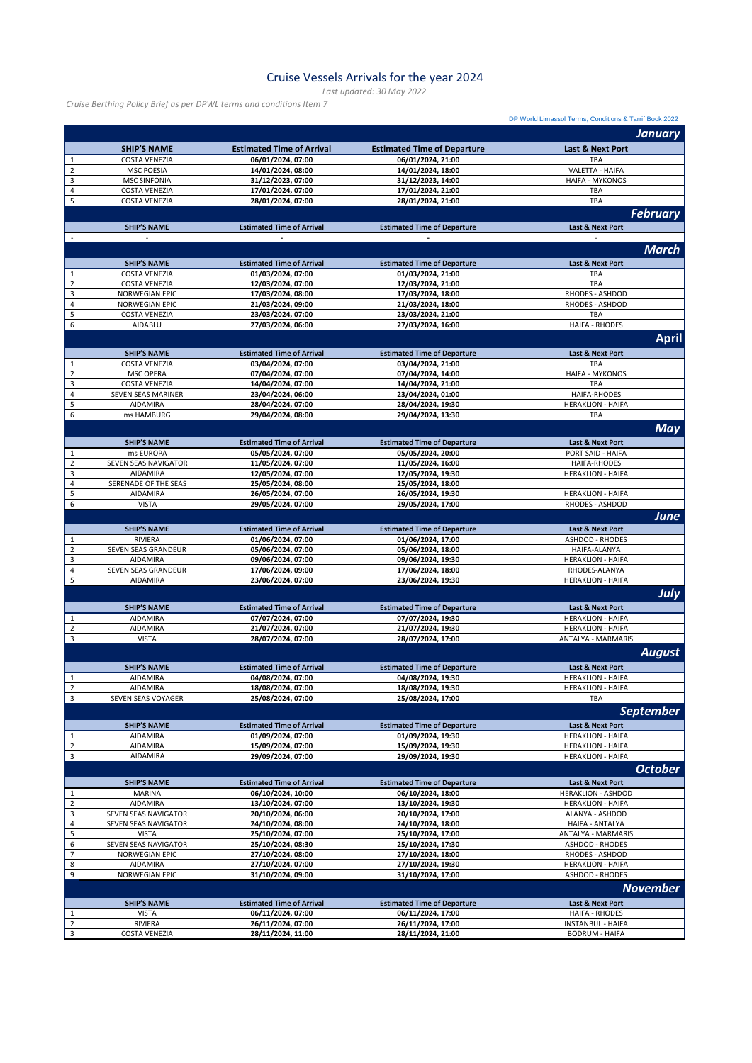## Cruise Vessels Arrivals for the year 2024

*Last updated: 30 May 2022*

*Cruise Berthing Policy Brief as per DPWL terms and conditions Item 7*

|                            |                                            |                                                       |                                                         | DP World Limassol Terms, Conditions & Tarrif Book 2022 |
|----------------------------|--------------------------------------------|-------------------------------------------------------|---------------------------------------------------------|--------------------------------------------------------|
|                            |                                            |                                                       |                                                         | January                                                |
|                            |                                            |                                                       |                                                         |                                                        |
|                            | <b>SHIP'S NAME</b>                         | <b>Estimated Time of Arrival</b>                      | <b>Estimated Time of Departure</b>                      | Last & Next Port                                       |
| $\mathbf 1$<br>$\mathbf 2$ | <b>COSTA VENEZIA</b><br><b>MSC POESIA</b>  | 06/01/2024, 07:00<br>14/01/2024, 08:00                | 06/01/2024, 21:00<br>14/01/2024, 18:00                  | TBA<br>VALETTA - HAIFA                                 |
| 3                          | <b>MSC SINFONIA</b>                        | 31/12/2023, 07:00                                     | 31/12/2023, 14:00                                       | <b>HAIFA - MYKONOS</b>                                 |
| $\pmb{4}$                  | <b>COSTA VENEZIA</b>                       | 17/01/2024, 07:00                                     | 17/01/2024, 21:00                                       | TBA                                                    |
| 5                          | <b>COSTA VENEZIA</b>                       | 28/01/2024, 07:00                                     | 28/01/2024, 21:00                                       | TBA                                                    |
|                            |                                            |                                                       |                                                         | <b>February</b>                                        |
|                            | <b>SHIP'S NAME</b>                         | <b>Estimated Time of Arrival</b>                      | <b>Estimated Time of Departure</b>                      | Last & Next Port                                       |
|                            |                                            |                                                       |                                                         |                                                        |
|                            |                                            |                                                       |                                                         | <b>March</b>                                           |
|                            |                                            |                                                       |                                                         |                                                        |
| $\mathbf 1$                | <b>SHIP'S NAME</b><br><b>COSTA VENEZIA</b> | <b>Estimated Time of Arrival</b><br>01/03/2024, 07:00 | <b>Estimated Time of Departure</b><br>01/03/2024, 21:00 | Last & Next Port<br>TBA                                |
| $\mathbf 2$                | <b>COSTA VENEZIA</b>                       | 12/03/2024, 07:00                                     | 12/03/2024, 21:00                                       | <b>TBA</b>                                             |
| 3                          | <b>NORWEGIAN EPIC</b>                      | 17/03/2024, 08:00                                     | 17/03/2024, 18:00                                       | RHODES - ASHDOD                                        |
| $\overline{\mathbf{4}}$    | NORWEGIAN EPIC                             | 21/03/2024, 09:00                                     | 21/03/2024, 18:00                                       | RHODES - ASHDOD                                        |
| 5                          | <b>COSTA VENEZIA</b>                       | 23/03/2024, 07:00                                     | 23/03/2024, 21:00                                       | <b>TBA</b>                                             |
| 6                          | AIDABLU                                    | 27/03/2024, 06:00                                     | 27/03/2024, 16:00                                       | <b>HAIFA - RHODES</b>                                  |
|                            |                                            |                                                       |                                                         | <b>April</b>                                           |
|                            | <b>SHIP'S NAME</b>                         | <b>Estimated Time of Arrival</b>                      | <b>Estimated Time of Departure</b>                      | Last & Next Port                                       |
| $\mathbf 1$                | <b>COSTA VENEZIA</b>                       | 03/04/2024, 07:00                                     | 03/04/2024, 21:00                                       | TBA                                                    |
| $\mathbf 2$                | <b>MSC OPERA</b>                           | 07/04/2024, 07:00                                     | 07/04/2024, 14:00                                       | <b>HAIFA - MYKONOS</b>                                 |
| $\mathsf 3$                | <b>COSTA VENEZIA</b>                       | 14/04/2024, 07:00                                     | 14/04/2024, 21:00                                       | TBA                                                    |
| $\overline{\mathbf{4}}$    | SEVEN SEAS MARINER                         | 23/04/2024, 06:00                                     | 23/04/2024, 01:00                                       | <b>HAIFA-RHODES</b>                                    |
| 5                          | AIDAMIRA                                   | 28/04/2024, 07:00                                     | 28/04/2024, 19:30                                       | <b>HERAKLION - HAIFA</b>                               |
| 6                          | ms HAMBURG                                 | 29/04/2024, 08:00                                     | 29/04/2024, 13:30                                       | TBA                                                    |
|                            |                                            |                                                       |                                                         | <b>May</b>                                             |
|                            | <b>SHIP'S NAME</b>                         | <b>Estimated Time of Arrival</b>                      | <b>Estimated Time of Departure</b>                      | <b>Last &amp; Next Port</b>                            |
| $\mathbf{1}$               | ms EUROPA                                  | 05/05/2024, 07:00                                     | 05/05/2024, 20:00                                       | PORT SAID - HAIFA                                      |
| $\overline{2}$             | SEVEN SEAS NAVIGATOR                       | 11/05/2024, 07:00                                     | 11/05/2024, 16:00                                       | <b>HAIFA-RHODES</b>                                    |
| $\mathsf 3$                | AIDAMIRA                                   | 12/05/2024, 07:00                                     | 12/05/2024, 19:30                                       | <b>HERAKLION - HAIFA</b>                               |
| $\overline{4}$             | SERENADE OF THE SEAS                       | 25/05/2024, 08:00                                     | 25/05/2024, 18:00                                       |                                                        |
| 5                          | AIDAMIRA                                   | 26/05/2024, 07:00                                     | 26/05/2024, 19:30                                       | <b>HERAKLION - HAIFA</b>                               |
| 6                          | <b>VISTA</b>                               | 29/05/2024, 07:00                                     | 29/05/2024, 17:00                                       | RHODES - ASHDOD                                        |
|                            |                                            |                                                       |                                                         | <b>June</b>                                            |
|                            | <b>SHIP'S NAME</b>                         | <b>Estimated Time of Arrival</b>                      | <b>Estimated Time of Departure</b>                      | Last & Next Port                                       |
| 1                          | RIVIERA                                    | 01/06/2024, 07:00                                     | 01/06/2024, 17:00                                       | <b>ASHDOD - RHODES</b>                                 |
| $\mathbf 2$                | SEVEN SEAS GRANDEUR                        | 05/06/2024, 07:00                                     | 05/06/2024, 18:00                                       | HAIFA-ALANYA                                           |
| 3                          | AIDAMIRA                                   | 09/06/2024, 07:00                                     | 09/06/2024, 19:30                                       | <b>HERAKLION - HAIFA</b>                               |
| $\pmb{4}$                  | SEVEN SEAS GRANDEUR                        | 17/06/2024, 09:00                                     | 17/06/2024, 18:00                                       | RHODES-ALANYA                                          |
| 5                          | <b>AIDAMIRA</b>                            | 23/06/2024, 07:00                                     | 23/06/2024, 19:30                                       | <b>HERAKLION - HAIFA</b>                               |
|                            |                                            |                                                       |                                                         | July                                                   |
|                            | <b>SHIP'S NAME</b>                         | <b>Estimated Time of Arrival</b>                      | <b>Estimated Time of Departure</b>                      | Last & Next Port                                       |
| 1                          | AIDAMIRA                                   | 07/07/2024, 07:00                                     | 07/07/2024, 19:30                                       | <b>HERAKLION - HAIFA</b>                               |
| $\overline{2}$             | AIDAMIRA                                   | 21/07/2024, 07:00                                     | 21/07/2024, 19:30                                       | <b>HERAKLION - HAIFA</b>                               |
| $\overline{\mathbf{3}}$    | <b>VISTA</b>                               | 28/07/2024, 07:00                                     | 28/07/2024, 17:00                                       | ANTALYA - MARMARIS                                     |
|                            |                                            |                                                       |                                                         | <b>August</b>                                          |
|                            | <b>SHIP'S NAME</b>                         | <b>Estimated Time of Arrival</b>                      | <b>Estimated Time of Departure</b>                      | Last & Next Port                                       |
|                            | AIDAMIRA                                   | 04/08/2024, 07:00                                     | 04/08/2024, 19:30                                       | <b>HERAKLION - HAIFA</b>                               |
| $\overline{2}$             | AIDAMIRA                                   | 18/08/2024, 07:00                                     | 18/08/2024, 19:30                                       | <b>HERAKLION - HAIFA</b>                               |
| $\overline{\mathbf{3}}$    | SEVEN SEAS VOYAGER                         | 25/08/2024, 07:00                                     | 25/08/2024, 17:00                                       | TBA                                                    |
|                            |                                            |                                                       |                                                         | <b>September</b>                                       |
|                            | <b>SHIP'S NAME</b>                         | <b>Estimated Time of Arrival</b>                      | <b>Estimated Time of Departure</b>                      | Last & Next Port                                       |
| $\mathbf 1$                | <b>AIDAMIRA</b>                            | 01/09/2024, 07:00                                     | 01/09/2024, 19:30                                       | <b>HERAKLION - HAIFA</b>                               |
| $\mathbf 2$                | AIDAMIRA                                   | 15/09/2024, 07:00                                     | 15/09/2024, 19:30                                       | <b>HERAKLION - HAIFA</b>                               |
| $\overline{\mathbf{3}}$    | AIDAMIRA                                   | 29/09/2024, 07:00                                     | 29/09/2024, 19:30                                       | <b>HERAKLION - HAIFA</b>                               |
|                            |                                            |                                                       |                                                         | <b>October</b>                                         |
|                            |                                            |                                                       |                                                         | Last & Next Port                                       |
|                            | <b>SHIP'S NAME</b><br><b>MARINA</b>        | <b>Estimated Time of Arrival</b><br>06/10/2024, 10:00 | <b>Estimated Time of Departure</b><br>06/10/2024, 18:00 | <b>HERAKLION - ASHDOD</b>                              |
| 1<br>$\overline{2}$        | <b>AIDAMIRA</b>                            | 13/10/2024, 07:00                                     | 13/10/2024, 19:30                                       | <b>HERAKLION - HAIFA</b>                               |
| 3                          | SEVEN SEAS NAVIGATOR                       | 20/10/2024, 06:00                                     | 20/10/2024, 17:00                                       | ALANYA - ASHDOD                                        |
| $\pmb{4}$                  | SEVEN SEAS NAVIGATOR                       | 24/10/2024, 08:00                                     | 24/10/2024, 18:00                                       | HAIFA - ANTALYA                                        |
| 5                          | <b>VISTA</b>                               | 25/10/2024, 07:00                                     | 25/10/2024, 17:00                                       | ANTALYA - MARMARIS                                     |
| 6                          | SEVEN SEAS NAVIGATOR                       | 25/10/2024, 08:30                                     | 25/10/2024, 17:30                                       | <b>ASHDOD - RHODES</b>                                 |
| $\overline{7}$             | NORWEGIAN EPIC                             | 27/10/2024, 08:00                                     | 27/10/2024, 18:00                                       | RHODES - ASHDOD                                        |
| 8                          | AIDAMIRA                                   | 27/10/2024, 07:00                                     | 27/10/2024, 19:30                                       | <b>HERAKLION - HAIFA</b>                               |
| 9                          | NORWEGIAN EPIC                             | 31/10/2024, 09:00                                     | 31/10/2024, 17:00                                       | <b>ASHDOD - RHODES</b>                                 |
|                            |                                            |                                                       |                                                         | <b>November</b>                                        |
|                            | <b>SHIP'S NAME</b>                         | <b>Estimated Time of Arrival</b>                      | <b>Estimated Time of Departure</b>                      | Last & Next Port                                       |
| $\mathbf{1}$               | <b>VISTA</b>                               | 06/11/2024, 07:00                                     | 06/11/2024, 17:00                                       | <b>HAIFA - RHODES</b>                                  |
| $\sqrt{2}$                 | RIVIERA                                    | 26/11/2024, 07:00                                     | 26/11/2024, 17:00                                       | <b>INSTANBUL - HAIFA</b>                               |
| $\mathsf 3$                | <b>COSTA VENEZIA</b>                       | 28/11/2024, 11:00                                     | 28/11/2024, 21:00                                       | <b>BODRUM - HAIFA</b>                                  |